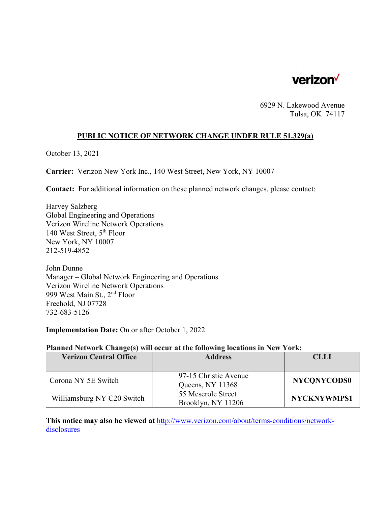

6929 N. Lakewood Avenue Tulsa, OK 74117

### **PUBLIC NOTICE OF NETWORK CHANGE UNDER RULE 51.329(a)**

October 13, 2021

**Carrier:** Verizon New York Inc., 140 West Street, New York, NY 10007

**Contact:** For additional information on these planned network changes, please contact:

Harvey Salzberg Global Engineering and Operations Verizon Wireline Network Operations 140 West Street, 5th Floor New York, NY 10007 212-519-4852

John Dunne Manager – Global Network Engineering and Operations Verizon Wireline Network Operations 999 West Main St., 2nd Floor Freehold, NJ 07728 732-683-5126

**Implementation Date:** On or after October 1, 2022

#### **Planned Network Change(s) will occur at the following locations in New York:**

| <b>Verizon Central Office</b> | <b>Address</b>                            | <b>CLLI</b>        |
|-------------------------------|-------------------------------------------|--------------------|
|                               |                                           |                    |
| Corona NY 5E Switch           | 97-15 Christie Avenue<br>Queens, NY 11368 | <b>NYCONYCODS0</b> |
| Williamsburg NY C20 Switch    | 55 Meserole Street<br>Brooklyn, NY 11206  | <b>NYCKNYWMPS1</b> |

**This notice may also be viewed at** http://www.verizon.com/about/terms-conditions/networkdisclosures